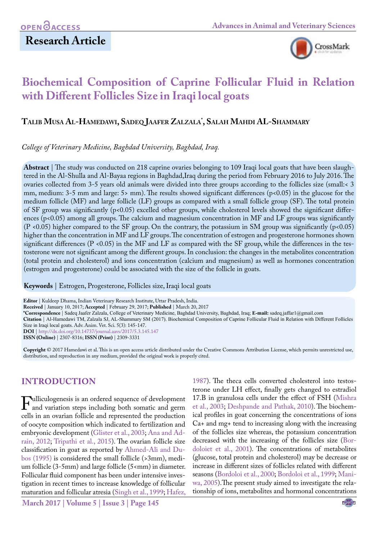## **Research Article**



# **Biochemical Composition of Caprine Follicular Fluid in Relation with Different Follicles Size in Iraqi local goats**

## **Talib Musa Al-Hamedawi, Sadeq Jaafer Zalzala\* , Salah Mahdi AL-Shammary**

*College of Veterinary Medicine, Baghdad University, Baghdad, Iraq.*

**Abstract** | The study was conducted on 218 caprine ovaries belonging to 109 Iraqi local goats that have been slaughtered in the Al-Shulla and Al-Bayaa regions in Baghdad,Iraq during the period from February 2016 to July 2016. The ovaries collected from 3-5 years old animals were divided into three groups according to the follicles size (small:< 3 mm, medium: 3-5 mm and large: 5> mm). The results showed significant differences (p<0.05) in the glucose for the medium follicle (MF) and large follicle (LF) groups as compared with a small follicle group (SF). The total protein of SF group was significantly (p<0.05) excelled other groups, while cholesterol levels showed the significant differences (p<0.05) among all groups. The calcium and magnesium concentration in MF and LF groups was significantly (P <0.05) higher compared to the SF group. On the contrary, the potassium in SM group was significantly (p<0.05) higher than the concentration in MF and LF groups. The concentration of estrogen and progesterone hormones shown significant differences ( $P \le 0.05$ ) in the MF and LF as compared with the SF group, while the differences in the testosterone were not significant among the different groups. In conclusion: the changes in the metabolites concentration (total protein and cholesterol) and ions concentration (calcium and magnesium) as well as hormones concentration (estrogen and progesterone) could be associated with the size of the follicle in goats.

**Keywords** | Estrogen, Progesterone, Follicles size, Iraqi local goats

**Editor** | Kuldeep Dhama, Indian Veterinary Research Institute, Uttar Pradesh, India.

**Received** | January 10, 2017; **Accepted** | February 29, 2017; **Published** | March 20, 2017

**\*Correspondence** | Sadeq Jaafer Zalzala, College of Veterinary Medicine, Baghdad University, Baghdad, Iraq; **E-mail:** sadeq.jaffar1@gmail.com

**Citation** | Al-Hamedawi TM, Zalzala SJ, AL-Shammary SM (2017). Biochemical Composition of Caprine Follicular Fluid in Relation with Different Follicles Size in Iraqi local goats. Adv. Anim. Vet. Sci. 5(3): 145-147.

**DOI** |<http://dx.doi.org/10.14737/journal.aavs/2017/5.3.145.147>

**ISSN (Online)** | 2307-8316; **ISSN (Print)** | 2309-3331

**Copyright** © 2017 Hamedawi et al. This is an open access article distributed under the Creative Commons Attribution License, which permits unrestricted use, distribution, and reproduction in any medium, provided the original work is properly cited.

## **INTRODUCTION**

**Fulliculogenesis is an ordered sequence of development**<br>and variation steps including both somatic and germ<br>cells in an ovarian follicle and represented the production cells in an ovarian follicle and represented the production of oocyte composition which indicated to fertilization and embryonic development [\(Glister et al., 2003;](#page-2-0) [Ana and Ad](#page-2-1)[rain, 2012](#page-2-1); [Tripathi et al., 2015\)](#page-2-2). The ovarian follicle size classification in goat as reported by Ahmed-Ali and Dubos (1995) is considered the small follicle (>3mm), medium follicle (3-5mm) and large follicle (5<mm) in diameter. Follicular fluid component has been under intensive investigation in recent times to increase knowledge of follicular maturation and follicular atresia ([Singh et al., 1999;](#page-2-3) [Hafez,](#page-2-4) 

**March 2017 | Volume 5 | Issue 3 | Page 145**

[1987](#page-2-4)). The theca cells converted cholesterol into testosterone under LH effect, finally gets changed to estradiol 17.B in granulosa cells under the effect of FSH ([Mishra](#page-2-5)  [et al., 2003;](#page-2-5) [Deshpande and Pathak, 2010](#page-2-6)). The biochemical profiles in goat concerning the concentrations of ions Ca+ and mg+ tend to increasing along with the increasing of the follicles size whereas, the potassium concentration decreased with the increasing of the follicles size (Bordoloiet et al., 2001). The concentrations of metabolites (glucose, total protein and cholesterol) may be decrease or increase in different sizes of follicles related with different seasons (Bordoloi et al., 2000; Bordoloi et al., 1999; [Mani](#page-2-7)[wa, 2005](#page-2-7)).The present study aimed to investigate the relationship of ions, metabolites and hormonal concentrations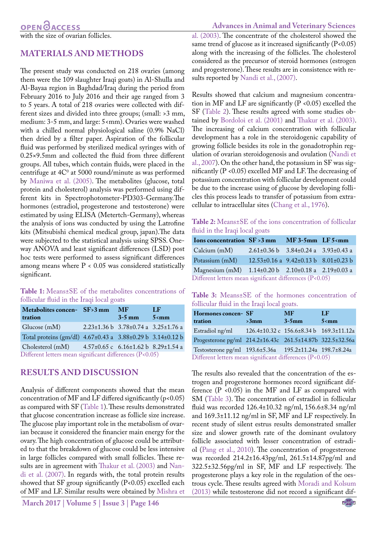## **MATERIALS AND METHODS**

The present study was conducted on 218 ovaries (among them were the 109 slaughter Iraqi goats) in Al-Shulla and Al-Bayaa region in Baghdad/Iraq during the period from February 2016 to July 2016 and their age ranged from 3 to 5 years. A total of 218 ovaries were collected with different sizes and divided into three groups; (small: >3 mm, medium: 3-5 mm, and large: 5<mm). Ovaries were washed with a chilled normal physiological saline (0.9% NaCl) then dried by a filter paper. Aspiration of the follicular fluid was performed by sterilized medical syringes with of 0.25×9.5mm and collected the fluid from three different groups. All tubes, which contain fluids, were placed in the centrifuge at  $4C^{\circ}$  at 5000 round/minute as was performed by [Maniwa et al. \(2005\)](#page-2-7). The metabolites (glucose, total protein and cholesterol) analysis was performed using different kits in Spectrophotometer-PD303-Germany.The hormones (estradiol, progesterone and testosterone) were estimated by using ELISA (Metertch-Germany), whereas the analysis of ions was conducted by using the Latrofine kits (Mitsubishi chemical medical group, japan).The data were subjected to the statistical analysis using SPSS. Oneway ANOVA and least significant differences (LSD) post hoc tests were performed to assess significant differences among means where P < 0.05 was considered statistically significant.

#### <span id="page-1-0"></span>**Table 1:** Means±SE of the metabolites concentrations of follicular fluid in the Iraqi local goats

| Metabolites concen- SF>3 mm<br>tration                           |  | <b>MF</b><br>$3-5$ mm                                         | LF<br>5 <sub>mm</sub> |  |  |
|------------------------------------------------------------------|--|---------------------------------------------------------------|-----------------------|--|--|
| Glucose $(mM)$                                                   |  | $2.23 \pm 1.36 \text{ b}$ 3.78 $\pm$ 0.74 a 3.25 $\pm$ 1.76 a |                       |  |  |
| Total proteins (gm/dl) 4.67±0.43 a 3.88±0.29 b 3.14±0.12 b       |  |                                                               |                       |  |  |
| Cholesterol (mM) $4.57\pm0.65$ c $6.16\pm1.62$ b $8.29\pm1.54$ a |  |                                                               |                       |  |  |
| Different letters mean significant differences (P<0.05)          |  |                                                               |                       |  |  |

### **RESULTS AND DISCUSSION**

Analysis of different components showed that the mean concentration of MF and LF differed significantly ( $p$ <0.05) as compared with SF [\(Table 1\)](#page-1-0). These results demonstrated that glucose concentration increase as follicle size increase. The glucose play important role in the metabolism of ovarian because it considered the financier main energy for the ovary. The high concentration of glucose could be attributed to that the breakdown of glucose could be less intensive in large follicles compared with small follicles. These results are in agreement with [Thakur et al. \(2003\)](#page-2-8) and [Nan](#page-2-9)[di et al. \(2007\).](#page-2-9) In regards with, the total protein results showed that SF group significantly (P<0.05) excelled each of MF and LF. Similar results were obtained by [Mishra et](#page-2-5) 

**March 2017 | Volume 5 | Issue 3 | Page 146**

#### **Advances in Animal and Veterinary Sciences**

[al. \(2003\).](#page-2-5) The concentrate of the cholesterol showed the same trend of glucose as it increased significantly  $(P<0.05)$ along with the increasing of the follicles. The cholesterol considered as the precursor of steroid hormones (estrogen and progesterone). These results are in consistence with results reported by [Nandi et al., \(2007\).](#page-2-9)

Results showed that calcium and magnesium concentration in MF and LF are significantly  $(P \le 0.05)$  excelled the SF [\(Table 2](#page-1-1)). These results agreed with some studies obtained by Bordoloi et al. (2001) and [Thakur et al. \(2003\).](#page-2-8) The increasing of calcium concentration with follicular development has a role in the steroidogenic capability of growing follicle besides its role in the gonadotrophin regulation of ovarian steroidogenosis and ovulation [\(Nandi et](#page-2-9) [al., 2007\)](#page-2-9). On the other hand, the potassium in SF was significantly (P <0.05) excelled MF and LF. The decreasing of potassium concentration with follicular development could be due to the increase using of glucose by developing follicles this process leads to transfer of potassium from extracellular to intracellular sites ([Chang et al., 1976\)](#page-2-10).

<span id="page-1-1"></span>**Table 2:** Means±SE of the ions concentration of follicular fluid in the Iraqi local goats

| Ions concentration $SF > 3$ mm                          |                                                  | $MF3-5mm$ LF $5\leq m$ m |  |  |  |
|---------------------------------------------------------|--------------------------------------------------|--------------------------|--|--|--|
| Calcium (mM)                                            | $2.61\pm0.36$ b $3.84\pm0.24$ a $3.93\pm0.43$ a  |                          |  |  |  |
| Potassium (mM)                                          | $12.53\pm0.16$ a $9.42\pm0.13$ b $8.01\pm0.23$ b |                          |  |  |  |
| Magnesium (mM) 1.14±0.20 b 2.10±0.18 a 2.19±0.03 a      |                                                  |                          |  |  |  |
| Different letters mean significant differences (P<0.05) |                                                  |                          |  |  |  |

<span id="page-1-2"></span>**Table 3:** Means±SE of the hormones concentration of follicular fluid in the Iraqi local goats.

| Hormones concen- SF<br>tration                            | $>3$ mm                                 | <b>MF</b><br>$3-5$ mm | $_{\rm LF}$<br>5 <sub>mm</sub> |  |  |
|-----------------------------------------------------------|-----------------------------------------|-----------------------|--------------------------------|--|--|
| Estradiol ng/ml                                           | 126.4±10.32 c 156.6±8.34 b 169.3±11.12a |                       |                                |  |  |
| Progesterone pg/ml 214.2±16.43c 261.5±14.87b 322.5±32.56a |                                         |                       |                                |  |  |
| Testosterone pg/ml 193.6±5.36a 195.2±11.24a 198.7±8.24a   |                                         |                       |                                |  |  |
| Different letters mean significant differences (P<0.05)   |                                         |                       |                                |  |  |

The results also revealed that the concentration of the estrogen and progesterone hormones record significant difference (P <0.05) in the MF and LF as compared with SM [\(Table 3\)](#page-1-2). The concentration of estradiol in follicular fluid was recorded 126.4±10.32 ng/ml, 156.6±8.34 ng/ml and 169.3±11.12 ng/ml in SF, MF and LF respectively. In recent study of silent estrus results demonstrated smaller size and slower growth rate of the dominant ovulatory follicle associated with lesser concentration of estradiol ([Pang et al., 2010\)](#page-2-11). The concentration of progesterone was recorded 214.2±16.43pg/ml, 261.5±14.87pg/ml and 322.5±32.56pg/ml in SF, MF and LF respectively. The progesterone plays a key role in the regulation of the oestrous cycle. These results agreed with [Moradi and Kolsum](#page-2-12) [\(2013\)](#page-2-12) while testosterone did not record a significant dif-